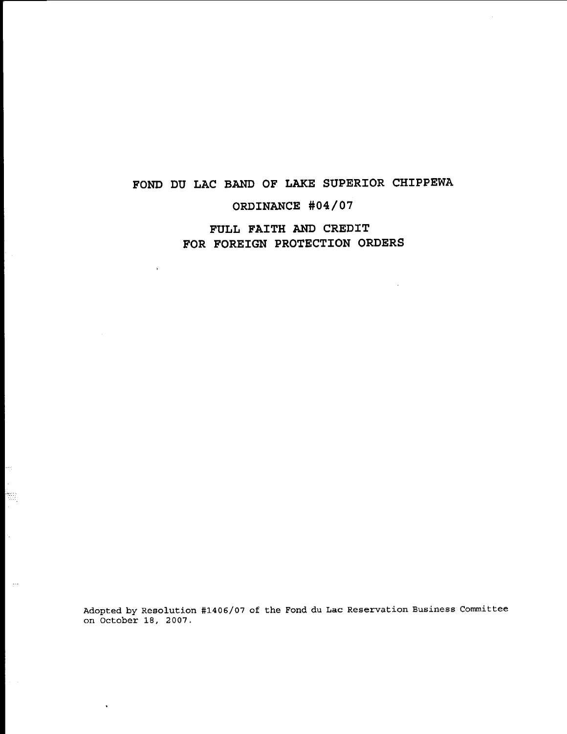# **FOND DU LAC BAND OF LAKE SUPERIOR CHIPPEWA**

# **ORDINANCE #04/07**

# **FULL FAITH AND CREDIT FOR FOREIGN PROTECTION ORDERS**

 $\mathcal{L}$ 

 $\lambda$ 

H J. h.

Ŷ,

ببرد

Adopted by Resolution #1406/07 of the Fond du Lac Reservation Business Committee on October 18, 2007.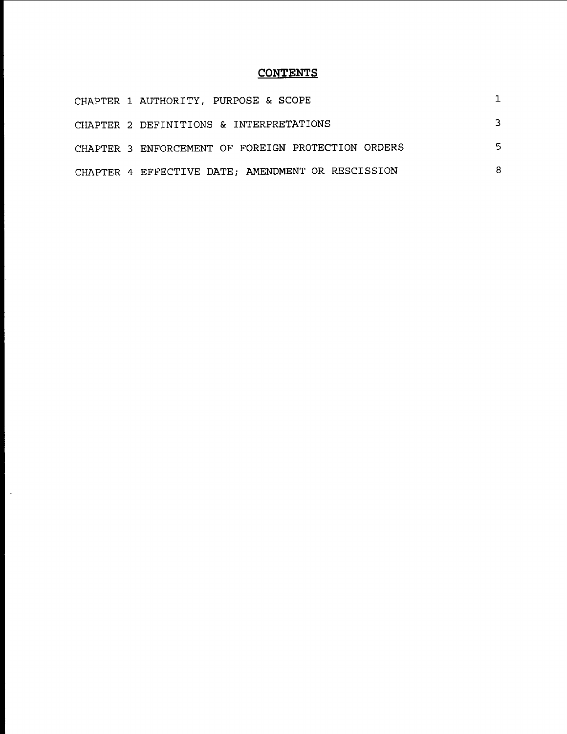# **CONTENTS**

| CHAPTER 1 AUTHORITY, PURPOSE & SCOPE               |   |
|----------------------------------------------------|---|
| CHAPTER 2 DEFINITIONS & INTERPRETATIONS            | 3 |
| CHAPTER 3 ENFORCEMENT OF FOREIGN PROTECTION ORDERS | 5 |
| CHAPTER 4 EFFECTIVE DATE; AMENDMENT OR RESCISSION  | 8 |

 $\bar{z}$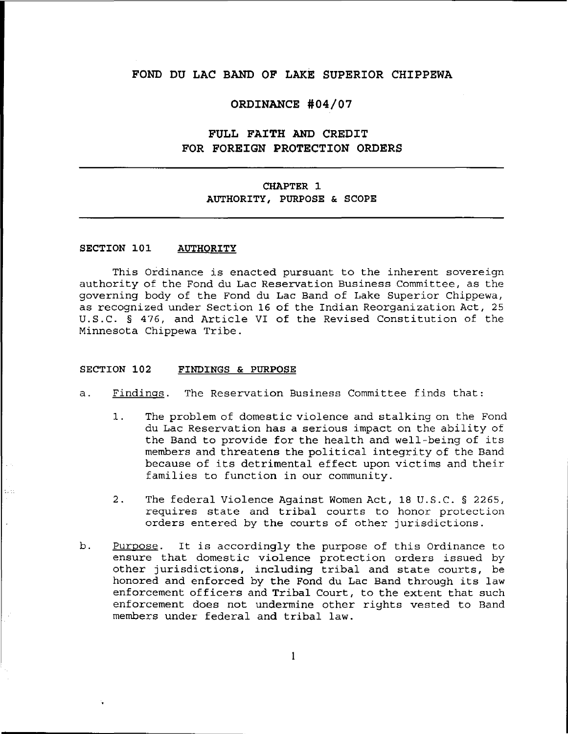### **FOND DU LAC BAND OF LAKE SUPERIOR CHIPPEWA**

#### **ORDINANCE #04/07**

## **FULL FAITH AND CREDIT FOR FOREIGN PROTECTION ORDERS**

## **CHAPTER 1 AUTHORITY, PURPOSE & SCOPE**

#### **SECTION 101 AUTHORITY**

This Ordinance is enacted pursuant to the inherent sovereign authority of the Fond du Lac Reservation Business Committee, as the governing body of the Fond du Lac Band of Lake Superior Chippewa, as recognized under Section 16 of the Indian Reorganization Act, 25 U.S.C. § 476, and Article VI of the Revised Constitution of the Minnesota Chippewa Tribe.

#### **SECTION 102 FINDINGS & PURPOSE**

- a. Findings. The Reservation Business Committee finds that:
	- 1. The problem of domestic violence and stalking on the Fond du Lac Reservation has <sup>a</sup> serious impact on the ability of the Band to provide for the health and well-being of its members and threatens the political integrity of the Band because of its detrimental effect upon victims and their families to function in our community.
	- 2. The federal Violence Against Women Act, 18 U. S. C. § 2265, requires state and tribal courts to honor protection orders entered by the courts of other jurisdictions.
- b. Purpose. It is accordingly the purpose of this Ordinance to ensure that domestic violence protection orders issued by other jurisdictions, including tribal and state courts, be honored and enforced by the Fond du Lac Band through its law enforcement officers and Tribal Court, to the extent that such enforcement does not undermine other rights vested to Band members under federal and tribal law.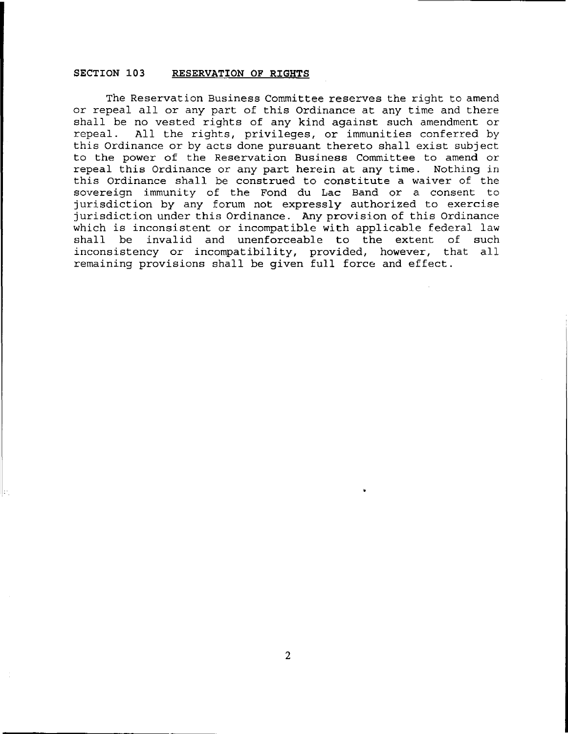#### SECTION 103 RESERVATION OF RIGHTS

The Reservation Business Committee reserves the right to amend or repeal all or any part of this Ordinance at any *time* and there shall be no vested rights of any kind against such amendment or repeal. All the rights, privileges, or immunities conferred by this Ordinance or by acts done pursuant thereto shall exist subject to the power of the Reservation Business Committee to amend or repeal this Ordinance or any part herein at any time. Nothing in this Ordinance shall be construed to constitute a waiver of the sovereign immunity of the Fond du Lac Band or a consent to jurisdiction by any forum not expressly authorized to exercise jurisdiction under this Ordinance. Any provision of this Ordinance which is inconsistent or incompatible with applicable federal law shall be invalid and unenforceable to the extent of such inconsistency or incompatibility, provided, however, that all remaining provisions shall be given full force and effect.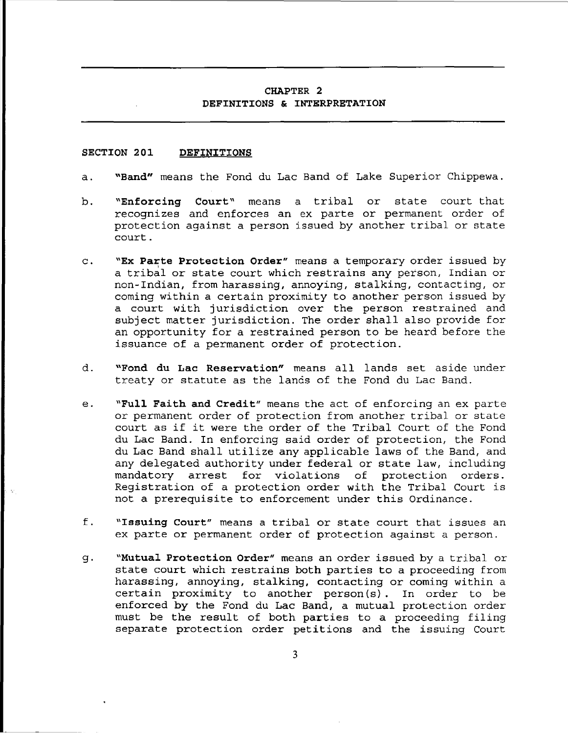#### CHAPTER 2 DEFINITIONS & INTERPRETATION

#### SECTION 201 DEFINITIONS

- a. "Band" means the Fond du Lac Band of Lake Superior Chippewa.
- b. "Enforcing Court" means <sup>a</sup> tribal recognizes and enforces an ex parte or permanent order of protection against a person issued by another tribal or state court. or state court that
- c. "Ex Parte Protection Order" means a temporary order issued by a tribal or state court which restrains any person, Indian or non-Indian, from harassing, annoying, stalking, contacting, or coming within <sup>a</sup> certain proximity to another person issued by <sup>a</sup> court with jurisdiction over the person restrained and subject matter jurisdiction. The order shall also provide for an opportunity for a restrained person to be heard before the issuance of a permanent order of protection.
- d. **"Fond du Lac Reservation"** means all lands set aside under treaty or statute as the lands of the Fond du Lac Band.
- e. "Full Faith and Credit" means the act of enforcing an ex parte or permanent order of protection from another tribal or state court as if it were the order of the Tribal Court of the Fond du Lac Band. In enforcing said order of protection, the Fond du Lac Band shall utilize any applicable laws of the Band, and any delegated authority under federal or state law, including<br>mandatory arrest for violations of protection orders. mandatory arrest for violations of Registration of <sup>a</sup> protection order with the Tribal Court is not <sup>a</sup> prerequisite to enforcement under this Ordinance.
- f. "Issuing Court" means <sup>a</sup> tribal or state court that issues an ex parte or permanent order of protection against <sup>a</sup> person.
- g. "Mutual Protection Order" means an order issued by <sup>a</sup> tribal or state court which restrains both parties to <sup>a</sup> proceeding from harassing, annoying, stalking, contacting or coming within a certain proximity to another person (s). In order to be enforced by the Fond du Lac Band, a mutual protection order must be the result of both parties to <sup>a</sup> proceeding filing separate protection order petitions and the issuing Court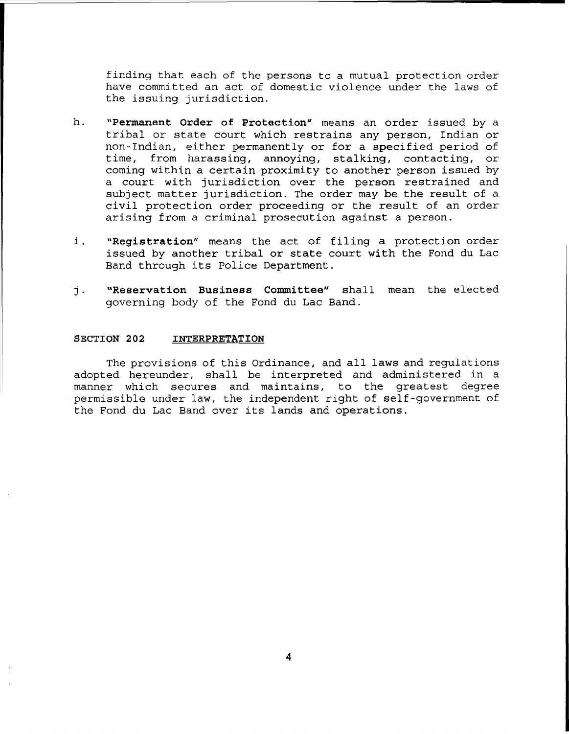finding that each of the persons to <sup>a</sup> mutual protection order have committed an act of domestic violence under the laws of the issuing jurisdiction.

- h. **"Permanent Order of Protection"** means an order issued by a tribal or state court which restrains any person, Indian or non-Indian, either permanently or for <sup>a</sup> specified period of time, from harassing, annoying, stalking, contacting, or coming within <sup>a</sup> certain proximity to another person issued by <sup>a</sup> court with jurisdiction over the person restrained and subject matter jurisdiction. The order may be the result of <sup>a</sup> civil protection order proceeding or the result of an order arising from a criminal prosecution against a person.
- i. **"Registration"** means the act of filing <sup>a</sup> protection order issued by another tribal or state court with the Fond du Lac Band through its Police Department.
- j. **"Reservation Business Committee"** shall mean the elected governing body of the Fond du Lac Band.

#### **SECTION 202 INTERPRETATION**

The provisions of this Ordinance, and all laws and regulations adopted hereunder, shall be interpreted and administered in a manner which secures and maintains, to the greatest degree permissible under law, the independent right of self-government of the Fond du Lac Band over its lands and operations.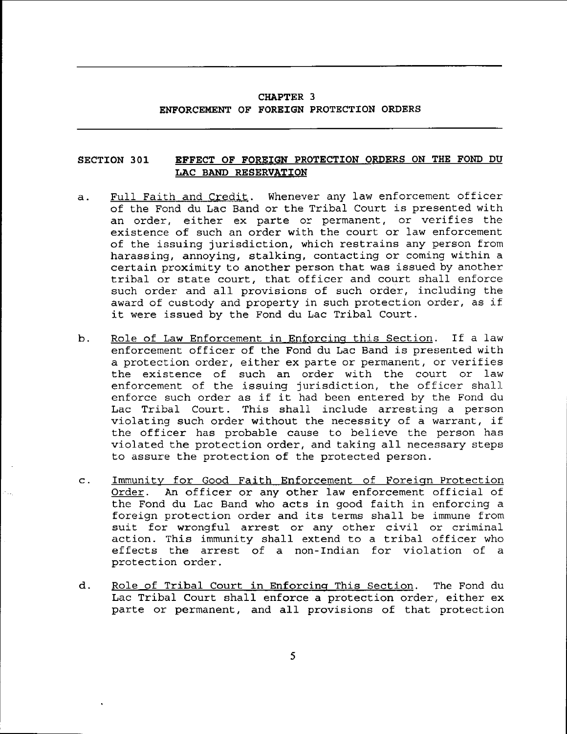### **CHAPTER** 3 **ENFORCEMENT OF FOREIGN PROTECTION ORDERS**

#### **SECTION 301 EFFECT OF FOREIGN PROTECTION ORDERS ON THE FOND DU LAC BAND RESERVATION**

- a. Full Faith and Credit. Whenever any law enforcement officer of the Fond du Lac Band or the Tribal Court is presented with an order, either ex parte or permanent, or verifies the existence of such an order with the court or law enforcement of the issuing jurisdiction, which restrains any person from harassing, annoying, stalking, contacting or coming within a certain proximity to another person that was issued by another tribal or state court, that officer and court shall enforce such order and all provisions of such order, including the award of custody and property in such protection order, as if it were issued by the Fond du Lac Tribal Court.
- b. Role of Law Enforcement in Enforcing this Section. If <sup>a</sup> law enforcement officer of the Fond du Lac Band is presented with <sup>a</sup> protection order, either ex parte or permanent, or verifies the existence of such an order with the court or law enforcement of the issuing jurisdiction, the officer shall enforce such order as if it had been entered by the Fond du Lac Tribal Court. This shall include arresting a person violating such order without the necessity of <sup>a</sup> warrant, if the officer has probable cause to believe the person has violated the protection order, and taking all necessary steps to assure the protection of the protected person.
- c. Immunitv for Good Faith Enforcement of Foreiqn Protection Order. An officer or any other law enforcement official of the Fond du Lac Band who acts in good faith in enforcing <sup>a</sup> foreign protection order and its terms shall be immune from suit for wrongful arrest or any other civil or criminal action. This immunity shall extend to <sup>a</sup> tribal officer who effects the arrest of <sup>a</sup> non-Indian for violation of <sup>a</sup> protection order.
- d. Role of Tribal Court in Enforcinq This Section. The Fond du Lac Tribal Court shall enforce <sup>a</sup> protection order, either ex parte or permanent, and all provisions of that protection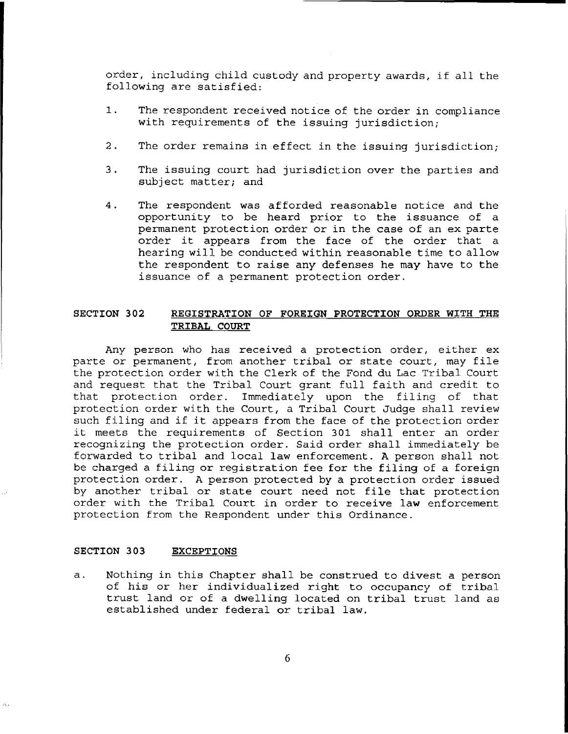order, including child custody and property awards, if all the following are satisfied:

- 1. The respondent received notice of the order in compliance with requirements of the issuing jurisdiction;
- 2. The order remains in effect in the issuing jurisdiction;
- 3. The issuing court had jurisdiction over the parties and subject matter; and
- 4. The respondent was afforded reasonable notice and the opportunity to be heard prior to the issuance of a permanent protection order or in the case of an ex parte order it appears from the face of the order that <sup>a</sup> hearing will be conducted within reasonable time to allow the respondent to raise any defenses he may have to the issuance of a permanent protection order.

#### **SECTION 302 REGISTRATION OF FOREIGN PROTECTION ORDER WITH THE TRIBAL COURT**

Any person who has received a protection order, either ex parte or permanent, from another tribal or state court, may file the protection order with the Clerk of the Fond du Lac Tribal Court and request that the Tribal Court grant full faith and credit to that protection order. Immediately upon the filing of that protection order with the Court, a Tribal Court Judge shall review such filing and if it appears from the face of the protection order it meets the requirements of Section <sup>301</sup> shall enter an order recognizing the protection order. Said order shall immediately be forwarded to tribal and local law enforcement. <sup>A</sup> person shall not be charged <sup>a</sup> filing or registration fee for the filing of <sup>a</sup> foreign protection order. A person protected by a protection order issued by another tribal or state court need not file that protection order with the Tribal Court in order to receive law enforcement protection from the Respondent under this Ordinance.

#### **SECTION 303 EXCEPTIONS**

a. Nothing in this Chapter shall be construed to divest <sup>a</sup> person of his or her individualized right to occupancy of tribal trust land or of <sup>a</sup> dwelling located on tribal trust land as established under federal or tribal law.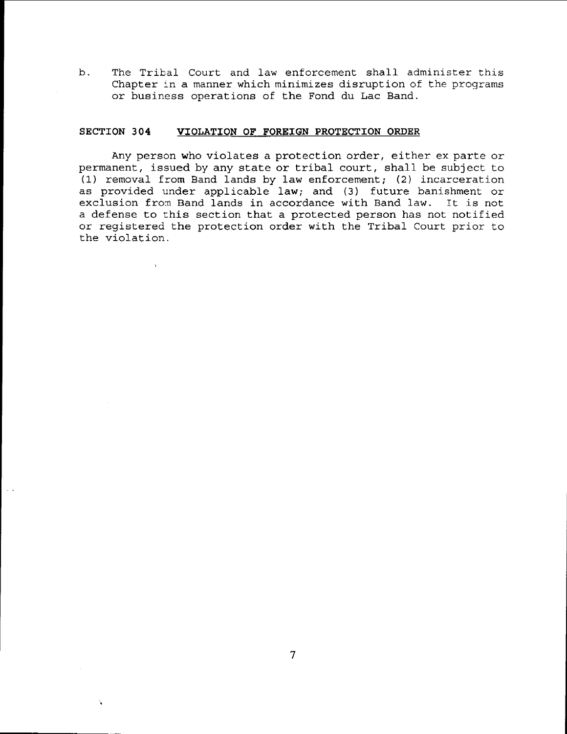b. The Tribal Court and law enforcement shall administer this Chapter in a manner which minimizes disruption of the programs or business operations of the Fond du Lac Band.

#### **SECTION 304 VIOLATION OF FOREIGN PROTECTION ORDER**

 $\bar{y}$ 

Any person who violates <sup>a</sup> protection order, either ex parte or permanent, issued by any state or tribal court, shall be subject to (1) removal from Band lands by law enforcement; (2) incarceration as provided under applicable law; and (3) future banishment or exclusion from Band lands in accordance with Band law. It is not <sup>a</sup> defense to this section that <sup>a</sup> protected person has not notified or registered the protection order with the Tribal Court prior to the violation.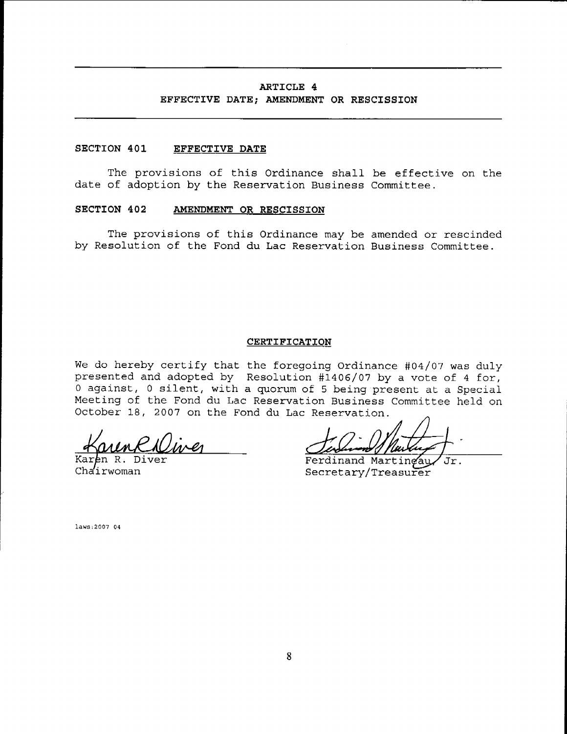#### **ARTICLE 4**

### **EFFECTIVE DATE; AMENDMENT OR RESCISSION**

#### **SECTION 401 EFFECTIVE DATE**

The provisions of this Ordinance shall be effective on the date of adoption by the Reservation Business Committee.

#### **SECTION 402 AMENDMENT OR RESCISSION**

The provisions of this Ordinance may be amended or rescinded by Resolution of the Fond du Lac Reservation Business Committee.

#### **CERTIFICATION**

We do hereby certify that the foregoing Ordinance #04/07 was duly presented and adopted by Resolution #1406/07 by a vote of 4 for, o against, <sup>0</sup> silent, with <sup>a</sup> quorum of <sup>5</sup> being present at <sup>a</sup> Special Meeting of the Fond du Lac Reservation Business Committee held on October 18, 2007 on the Fond du Lac Reservation.

 $-$ <u>munh numer</u>

Chairwoman

Ferdinand Martingau Jr. Secretary/Treasurer

laws:2007 04